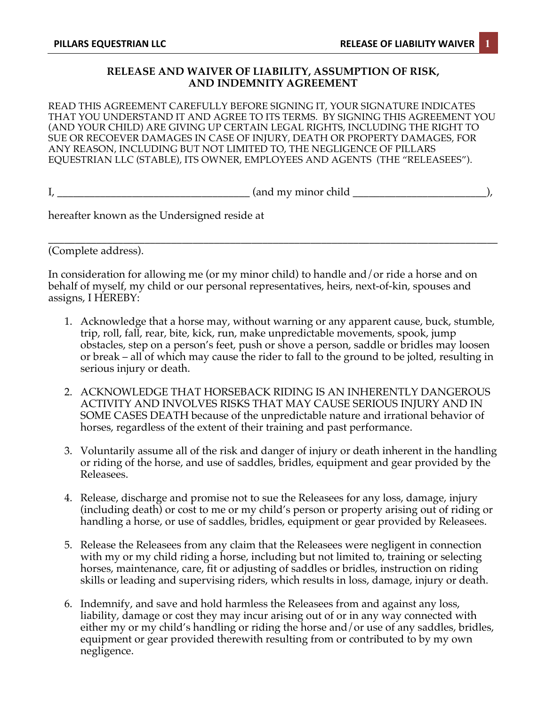## **RELEASE AND WAIVER OF LIABILITY, ASSUMPTION OF RISK, AND INDEMNITY AGREEMENT**

READ THIS AGREEMENT CAREFULLY BEFORE SIGNING IT, YOUR SIGNATURE INDICATES THAT YOU UNDERSTAND IT AND AGREE TO ITS TERMS. BY SIGNING THIS AGREEMENT YOU (AND YOUR CHILD) ARE GIVING UP CERTAIN LEGAL RIGHTS, INCLUDING THE RIGHT TO SUE OR RECOEVER DAMAGES IN CASE OF INJURY, DEATH OR PROPERTY DAMAGES, FOR ANY REASON, INCLUDING BUT NOT LIMITED TO, THE NEGLIGENCE OF PILLARS EQUESTRIAN LLC (STABLE), ITS OWNER, EMPLOYEES AND AGENTS (THE "RELEASEES").

I, \_\_\_\_\_\_\_\_\_\_\_\_\_\_\_\_\_\_\_\_\_\_\_\_\_\_\_\_\_\_\_\_\_\_\_\_ (and my minor child \_\_\_\_\_\_\_\_\_\_\_\_\_\_\_\_\_\_\_\_\_\_\_\_\_),

hereafter known as the Undersigned reside at

\_\_\_\_\_\_\_\_\_\_\_\_\_\_\_\_\_\_\_\_\_\_\_\_\_\_\_\_\_\_\_\_\_\_\_\_\_\_\_\_\_\_\_\_\_\_\_\_\_\_\_\_\_\_\_\_\_\_\_\_\_\_\_\_\_\_\_\_\_\_\_\_\_\_\_\_\_\_\_\_\_\_\_\_ (Complete address).

In consideration for allowing me (or my minor child) to handle and/or ride a horse and on behalf of myself, my child or our personal representatives, heirs, next-of-kin, spouses and assigns, I HEREBY:

- 1. Acknowledge that a horse may, without warning or any apparent cause, buck, stumble, trip, roll, fall, rear, bite, kick, run, make unpredictable movements, spook, jump obstacles, step on a person's feet, push or shove a person, saddle or bridles may loosen or break – all of which may cause the rider to fall to the ground to be jolted, resulting in serious injury or death.
- 2. ACKNOWLEDGE THAT HORSEBACK RIDING IS AN INHERENTLY DANGEROUS ACTIVITY AND INVOLVES RISKS THAT MAY CAUSE SERIOUS INJURY AND IN SOME CASES DEATH because of the unpredictable nature and irrational behavior of horses, regardless of the extent of their training and past performance.
- 3. Voluntarily assume all of the risk and danger of injury or death inherent in the handling or riding of the horse, and use of saddles, bridles, equipment and gear provided by the Releasees.
- 4. Release, discharge and promise not to sue the Releasees for any loss, damage, injury (including death) or cost to me or my child's person or property arising out of riding or handling a horse, or use of saddles, bridles, equipment or gear provided by Releasees.
- 5. Release the Releasees from any claim that the Releasees were negligent in connection with my or my child riding a horse, including but not limited to, training or selecting horses, maintenance, care, fit or adjusting of saddles or bridles, instruction on riding skills or leading and supervising riders, which results in loss, damage, injury or death.
- 6. Indemnify, and save and hold harmless the Releasees from and against any loss, liability, damage or cost they may incur arising out of or in any way connected with either my or my child's handling or riding the horse and/or use of any saddles, bridles, equipment or gear provided therewith resulting from or contributed to by my own negligence.